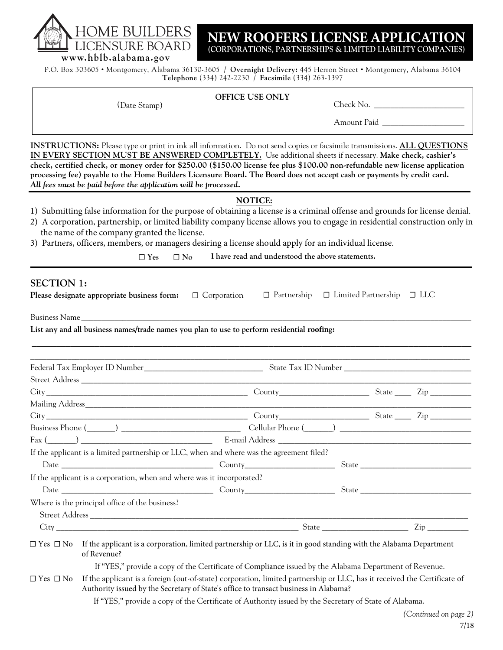DME BI JRE BOARD **www.hblb.alabama.gov**

**NEW ROOFERS LICENSE APPLICATION (CORPORATIONS, PARTNERSHIPS & LIMITED LIABILITY COMPANIES)**

P.O. Box 303605 • Montgomery, Alabama 36130-3605 / **Overnight Delivery:** 445 Herron Street • Montgomery, Alabama 36104 **Telephone** (334) 242-2230 / **Facsimile** (334) 263-1397

### **OFFICE USE ONLY**

(Date Stamp) Check No. \_\_\_\_\_\_\_\_\_\_\_\_\_\_\_\_\_\_\_\_\_\_

Amount Paid

**INSTRUCTIONS:** Please type or print in ink all information. Do not send copies or facsimile transmissions. **ALL QUESTIONS IN EVERY SECTION MUST BE ANSWERED COMPLETELY.** Use additional sheets if necessary. **Make check, cashier's check, certified check, or money order for \$250.00 (\$150.00 license fee plus \$100.00 non-refundable new license application processing fee) payable to the Home Builders Licensure Board. The Board does not accept cash or payments by credit card.** *All fees must be paid before the application will be processed.*

### **NOTICE:**

- 1) Submitting false information for the purpose of obtaining a license is a criminal offense and grounds for license denial.
- 2) A corporation, partnership, or limited liability company license allows you to engage in residential construction only in the name of the company granted the license.
- 3) Partners, officers, members, or managers desiring a license should apply for an individual license.

**☐ Yes ☐ No I have read and understood the above statements.** 

# **SECTION 1:**

| OLUTIOIN I.          | <b>Please designate appropriate business form:</b> $\Box$ Corporation $\Box$ Partnership $\Box$ Limited Partnership $\Box$ LLC                                                                                                 |  |  |  |  |  |  |
|----------------------|--------------------------------------------------------------------------------------------------------------------------------------------------------------------------------------------------------------------------------|--|--|--|--|--|--|
|                      | Business Name                                                                                                                                                                                                                  |  |  |  |  |  |  |
|                      | List any and all business names/trade names you plan to use to perform residential roofing:                                                                                                                                    |  |  |  |  |  |  |
|                      |                                                                                                                                                                                                                                |  |  |  |  |  |  |
|                      |                                                                                                                                                                                                                                |  |  |  |  |  |  |
|                      |                                                                                                                                                                                                                                |  |  |  |  |  |  |
|                      |                                                                                                                                                                                                                                |  |  |  |  |  |  |
|                      |                                                                                                                                                                                                                                |  |  |  |  |  |  |
|                      |                                                                                                                                                                                                                                |  |  |  |  |  |  |
|                      | Business Phone (Channel Collection Cellular Phone (Channel Cellular Phone (Channel Cellular Phone (Channel Cellular Phone (Channel Cellular Phone (Channel Cellular Phone (Channel Cellular Phone (Channel Cellular Phone (Cha |  |  |  |  |  |  |
|                      |                                                                                                                                                                                                                                |  |  |  |  |  |  |
|                      | If the applicant is a limited partnership or LLC, when and where was the agreement filed?                                                                                                                                      |  |  |  |  |  |  |
|                      |                                                                                                                                                                                                                                |  |  |  |  |  |  |
|                      | If the applicant is a corporation, when and where was it incorporated?                                                                                                                                                         |  |  |  |  |  |  |
|                      |                                                                                                                                                                                                                                |  |  |  |  |  |  |
|                      | Where is the principal office of the business?                                                                                                                                                                                 |  |  |  |  |  |  |
|                      |                                                                                                                                                                                                                                |  |  |  |  |  |  |
|                      |                                                                                                                                                                                                                                |  |  |  |  |  |  |
|                      | $\Box$ Yes $\Box$ No If the applicant is a corporation, limited partnership or LLC, is it in good standing with the Alabama Department<br>of Revenue?                                                                          |  |  |  |  |  |  |
|                      | If "YES," provide a copy of the Certificate of Compliance issued by the Alabama Department of Revenue.                                                                                                                         |  |  |  |  |  |  |
| $\Box$ Yes $\Box$ No | If the applicant is a foreign (out-of-state) corporation, limited partnership or LLC, has it received the Certificate of<br>Authority issued by the Secretary of State's office to transact business in Alabama?               |  |  |  |  |  |  |
|                      | If "YES," provide a copy of the Certificate of Authority issued by the Secretary of State of Alabama.                                                                                                                          |  |  |  |  |  |  |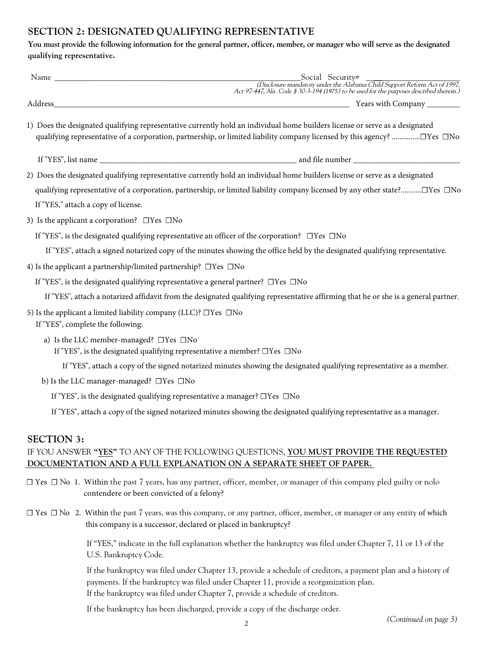# **SECTION 2: DESIGNATED QUALIFYING REPRESENTATIVE**

**You must provide the following information for the general partner, officer, member, or manager who will serve as the designated qualifying representative.**

|                                                         | Social Security#<br>(Disclosure mandatory under the Alabama Child Support Reform Act of 1997,<br>Act 97-447, Ala. Code § 30-3-194 (1975) to be used for the purposes described therein.)                                                                |
|---------------------------------------------------------|---------------------------------------------------------------------------------------------------------------------------------------------------------------------------------------------------------------------------------------------------------|
|                                                         |                                                                                                                                                                                                                                                         |
|                                                         | 1) Does the designated qualifying representative currently hold an individual home builders license or serve as a designated<br>qualifying representative of a corporation, partnership, or limited liability company licensed by this agency? □Yes □No |
|                                                         |                                                                                                                                                                                                                                                         |
|                                                         |                                                                                                                                                                                                                                                         |
|                                                         | 2) Does the designated qualifying representative currently hold an individual home builders license or serve as a designated                                                                                                                            |
|                                                         | qualifying representative of a corporation, partnership, or limited liability company licensed by any other state?□Yes □No                                                                                                                              |
| If "YES," attach a copy of license.                     |                                                                                                                                                                                                                                                         |
| 3) Is the applicant a corporation? $\Box$ Yes $\Box$ No |                                                                                                                                                                                                                                                         |
|                                                         | If "YES", is the designated qualifying representative an officer of the corporation? $\Box$ Yes $\Box$ No                                                                                                                                               |
|                                                         | If "YES", attach a signed notarized copy of the minutes showing the office held by the designated qualifying representative.                                                                                                                            |
|                                                         | 4) Is the applicant a partnership/limited partnership? $\Box$ Yes $\Box$ No                                                                                                                                                                             |
|                                                         | If "YES", is the designated qualifying representative a general partner? $\Box$ Yes $\Box$ No                                                                                                                                                           |
|                                                         | If "YES", attach a notarized affidavit from the designated qualifying representative affirming that he or she is a general partner.                                                                                                                     |
| If "YES", complete the following:                       | 5) Is the applicant a limited liability company (LLC)? $\Box$ Yes $\Box$ No                                                                                                                                                                             |
|                                                         | a) Is the LLC member-managed? $\Box$ Yes $\Box$ No<br>If "YES", is the designated qualifying representative a member? $\square$ Yes $\square$ No                                                                                                        |
|                                                         | If "YES", attach a copy of the signed notarized minutes showing the designated qualifying representative as a member.                                                                                                                                   |
|                                                         | b) Is the LLC manager-managed? □Yes □No                                                                                                                                                                                                                 |
|                                                         | If "YES", is the designated qualifying representative a manager? □Yes □No                                                                                                                                                                               |
|                                                         | If "YES", attach a copy of the signed notarized minutes showing the designated qualifying representative as a manager.                                                                                                                                  |
| <b>SECTION 3:</b>                                       |                                                                                                                                                                                                                                                         |
|                                                         | IF YOU ANSWER "YES" TO ANY OF THE FOLLOWING QUESTIONS, YOU MUST PROVIDE THE REQUESTED<br>DOCUMENTATION AND A FULL EXPLANATION ON A SEPARATE SHEET OF PAPER.                                                                                             |
|                                                         | $\square$ Yes $\square$ No 1. Within the past 7 years, has any partner, officer, member, or manager of this company pled guilty or nolo                                                                                                                 |

- contendere or been convicted of a felony?
- ☐ Yes ☐ No 2. Within the past 7 years, was this company, or any partner, officer, member, or manager or any entity of which this company is a successor, declared or placed in bankruptcy?

If "YES," indicate in the full explanation whether the bankruptcy was filed under Chapter 7, 11 or 13 of the U.S. Bankruptcy Code.

If the bankruptcy was filed under Chapter 13, provide a schedule of creditors, a payment plan and a history of payments. If the bankruptcy was filed under Chapter 11, provide a reorganization plan. If the bankruptcy was filed under Chapter 7, provide a schedule of creditors.

If the bankruptcy has been discharged, provide a copy of the discharge order.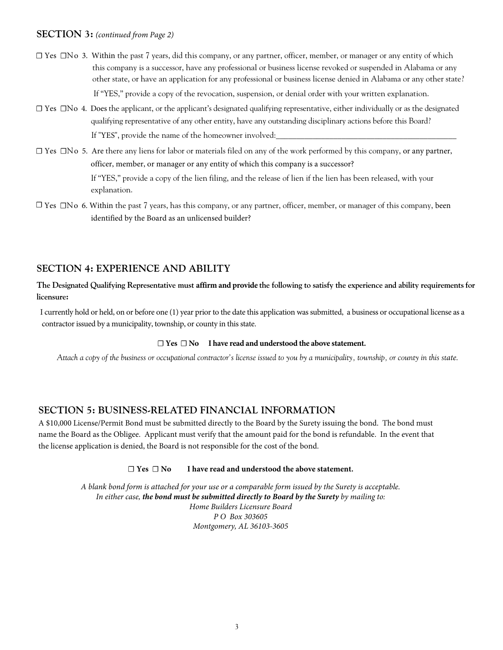### **SECTION 3:** *(continued from Page 2)*

- ☐ Yes ☐ o 3. Within N the past 7 years, did this company, or any partner, officer, member, or manager or any entity of which this company is a successor, have any professional or business license revoked or suspended in Alabama or any other state, or have an application for any professional or business license denied in Alabama or any other state? If "YES," provide a copy of the revocation, suspension, or denial order with your written explanation.
- ☐ Yes ☐ o 4. Does N the applicant, or the applicant's designated qualifying representative, either individually or as the designated qualifying representative of any other entity, have any outstanding disciplinary actions before this Board? If "YES", provide the name of the homeowner involved:
- ☐ Yes ☐ o 5. Are N there any liens for labor or materials filed on any of the work performed by this company, or any partner, officer, member, or manager or any entity of which this company is a successor?

If "YES," provide a copy of the lien filing, and the release of lien if the lien has been released, with your explanation.

☐ Yes ☐ o 6. Within N the past 7 years, has this company, or any partner, officer, member, or manager of this company, been identified by the Board as an unlicensed builder?

# **SECTION 4: EXPERIENCE AND ABILITY**

### **The Designated Qualifying Representative must affirm and provide the following to satisfy the experience and ability requirementsfor licensure:**

I currently hold or held, on or before one (1) year prior to the date this application was submitted, a business or occupational license as a contractor issued by a municipality, township, or county in this state.

#### **☐ Yes ☐ No I have read and understood the above statement.**

*Attach a copy of the business or occupational contractor's license issued to you by a municipality, township, or county in this state.*

### **SECTION 5: BUSINESS-RELATED FINANCIAL INFORMATION**

A \$10,000 License/Permit Bond must be submitted directly to the Board by the Surety issuing the bond. The bond must name the Board as the Obligee. Applicant must verify that the amount paid for the bond is refundable. In the event that the license application is denied, the Board is not responsible for the cost of the bond.

#### **☐ Yes ☐ No I have read and understood the above statement.**

*A blank bond form is attached for your use or a comparable form issued by the Surety is acceptable. In either case, the bond must be submitted directly to Board by the Surety by mailing to: Home Builders Licensure Board P O Box 303605 Montgomery, AL 36103-3605*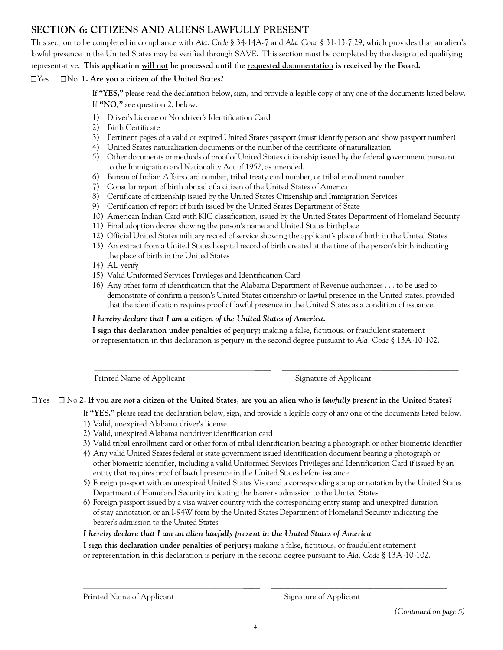# **SECTION 6: CITIZENS AND ALIENS LAWFULLY PRESENT**

This section to be completed in compliance with *Ala. Code* § 34-14A-7 and *Ala. Code* § 31-13-7,29, which provides that an alien's lawful presence in the United States may be verified through SAVE. This section must be completed by the designated qualifying representative. **This application will not be processed until the requested documentation is received by the Board.**

## ☐Yes ☐No **1. Are you a citizen of the United States?**

If **"YES,"** please read the declaration below, sign, and provide a legible copy of any one of the documents listed below. If **"NO,"** see question 2, below.

- 1) Driver's License or Nondriver's Identification Card
- 2) Birth Certificate
- 3) Pertinent pages of a valid or expired United States passport (must identify person and show passport number)
- 4) United States naturalization documents or the number of the certificate of naturalization
- 5) Other documents or methods of proof of United States citizenship issued by the federal government pursuant to the Immigration and Nationality Act of 1952, as amended.
- 6) Bureau of Indian Affairs card number, tribal treaty card number, or tribal enrollment number
- 7) Consular report of birth abroad of a citizen of the United States of America
- 8) Certificate of citizenship issued by the United States Citizenship and Immigration Services
- 9) Certification of report of birth issued by the United States Department of State
- 10) American Indian Card with KIC classification, issued by the United States Department of Homeland Security
- 11) Final adoption decree showing the person's name and United States birthplace
- 12) Official United States military record of service showing the applicant's place of birth in the United States
- 13) An extract from a United States hospital record of birth created at the time of the person's birth indicating the place of birth in the United States
- 14) AL-verify
- 15) Valid Uniformed Services Privileges and Identification Card
- 16) Any other form of identification that the Alabama Department of Revenue authorizes . . . to be used to demonstrate of confirm a person's United States citizenship or lawful presence in the United states, provided that the identification requires proof of lawful presence in the United States as a condition of issuance.

# *I hereby declare that I am a citizen of the United States of America.*

**I sign this declaration under penalties of perjury;** making a false, fictitious, or fraudulent statement or representation in this declaration is perjury in the second degree pursuant to *Ala. Code* § 13A-10-102.

Printed Name of Applicant Signature of Applicant

# ☐Yes ☐ No **2. If you are** *not* **a citizen of the United States, are you an alien who is** *lawfully present* **in the United States?**

If **"YES,"** please read the declaration below, sign, and provide a legible copy of any one of the documents listed below.

\_\_\_\_\_\_\_\_\_\_\_\_\_\_\_\_\_\_\_\_\_\_\_\_\_\_\_\_\_\_\_\_\_\_\_\_\_\_\_\_\_\_\_ \_\_\_\_\_\_\_\_\_\_\_\_\_\_\_\_\_\_\_\_\_\_\_\_\_\_\_\_\_\_\_\_\_\_\_\_\_\_\_\_\_\_\_

- 1) Valid, unexpired Alabama driver's license
- 2) Valid, unexpired Alabama nondriver identification card
- 3) Valid tribal enrollment card or other form of tribal identification bearing a photograph or other biometric identifier
- 4) Any valid United States federal or state government issued identification document bearing a photograph or other biometric identifier, including a valid Uniformed Services Privileges and Identification Card if issued by an entity that requires proof of lawful presence in the United States before issuance
- 5) Foreign passport with an unexpired United States Visa and a corresponding stamp or notation by the United States Department of Homeland Security indicating the bearer's admission to the United States
- 6) Foreign passport issued by a visa waiver country with the corresponding entry stamp and unexpired duration of stay annotation or an I-94W form by the United States Department of Homeland Security indicating the bearer's admission to the United States

### *I hereby declare that I am an alien lawfully present in the United States of Americ . a*

**I sign this declaration under penalties of perjury;** making a false, fictitious, or fraudulent statement or representation in this declaration is perjury in the second degree pursuant to *Ala. Code* § 13A-10-102.

\_\_\_\_\_\_\_\_\_\_\_\_\_\_\_\_\_\_\_\_\_\_\_\_\_\_\_\_\_\_\_\_\_\_\_\_\_\_\_\_\_\_\_ \_\_\_\_\_\_\_\_\_\_\_\_\_\_\_\_\_\_\_\_\_\_\_\_\_\_\_\_\_\_\_\_\_\_\_\_\_\_\_\_\_\_\_